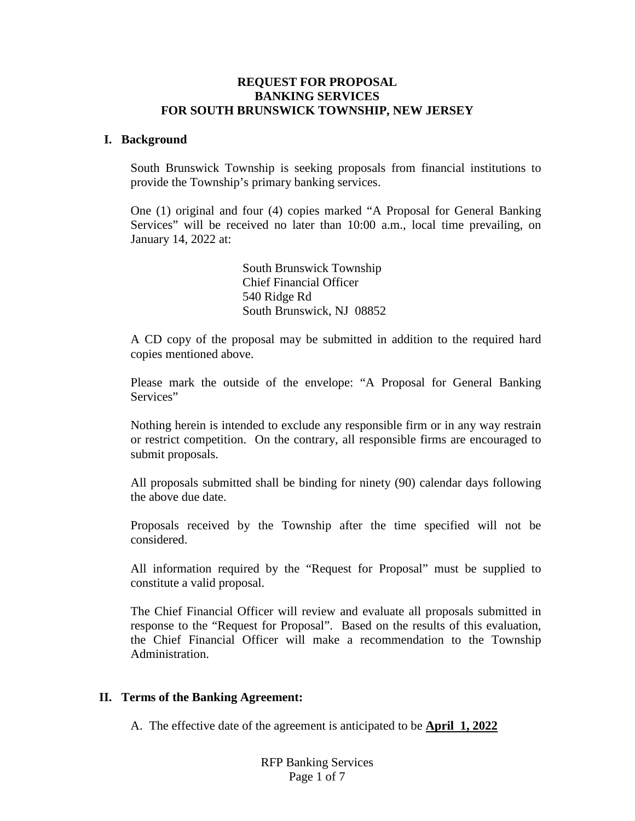## **REQUEST FOR PROPOSAL BANKING SERVICES FOR SOUTH BRUNSWICK TOWNSHIP, NEW JERSEY**

#### **I. Background**

South Brunswick Township is seeking proposals from financial institutions to provide the Township's primary banking services.

One (1) original and four (4) copies marked "A Proposal for General Banking Services" will be received no later than 10:00 a.m., local time prevailing, on January 14, 2022 at:

> South Brunswick Township Chief Financial Officer 540 Ridge Rd South Brunswick, NJ 08852

A CD copy of the proposal may be submitted in addition to the required hard copies mentioned above.

Please mark the outside of the envelope: "A Proposal for General Banking Services"

Nothing herein is intended to exclude any responsible firm or in any way restrain or restrict competition. On the contrary, all responsible firms are encouraged to submit proposals.

All proposals submitted shall be binding for ninety (90) calendar days following the above due date.

Proposals received by the Township after the time specified will not be considered.

All information required by the "Request for Proposal" must be supplied to constitute a valid proposal.

The Chief Financial Officer will review and evaluate all proposals submitted in response to the "Request for Proposal". Based on the results of this evaluation, the Chief Financial Officer will make a recommendation to the Township Administration.

## **II. Terms of the Banking Agreement:**

A. The effective date of the agreement is anticipated to be **April 1, 2022**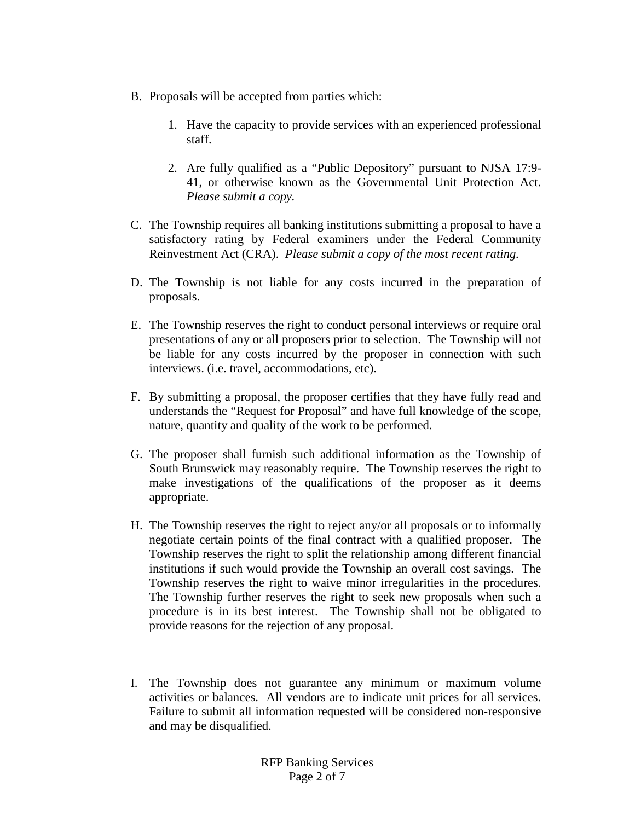- B. Proposals will be accepted from parties which:
	- 1. Have the capacity to provide services with an experienced professional staff.
	- 2. Are fully qualified as a "Public Depository" pursuant to NJSA 17:9- 41, or otherwise known as the Governmental Unit Protection Act. *Please submit a copy.*
- C. The Township requires all banking institutions submitting a proposal to have a satisfactory rating by Federal examiners under the Federal Community Reinvestment Act (CRA). *Please submit a copy of the most recent rating.*
- D. The Township is not liable for any costs incurred in the preparation of proposals.
- E. The Township reserves the right to conduct personal interviews or require oral presentations of any or all proposers prior to selection. The Township will not be liable for any costs incurred by the proposer in connection with such interviews. (i.e. travel, accommodations, etc).
- F. By submitting a proposal, the proposer certifies that they have fully read and understands the "Request for Proposal" and have full knowledge of the scope, nature, quantity and quality of the work to be performed.
- G. The proposer shall furnish such additional information as the Township of South Brunswick may reasonably require. The Township reserves the right to make investigations of the qualifications of the proposer as it deems appropriate.
- H. The Township reserves the right to reject any/or all proposals or to informally negotiate certain points of the final contract with a qualified proposer. The Township reserves the right to split the relationship among different financial institutions if such would provide the Township an overall cost savings. The Township reserves the right to waive minor irregularities in the procedures. The Township further reserves the right to seek new proposals when such a procedure is in its best interest. The Township shall not be obligated to provide reasons for the rejection of any proposal.
- I. The Township does not guarantee any minimum or maximum volume activities or balances. All vendors are to indicate unit prices for all services. Failure to submit all information requested will be considered non-responsive and may be disqualified.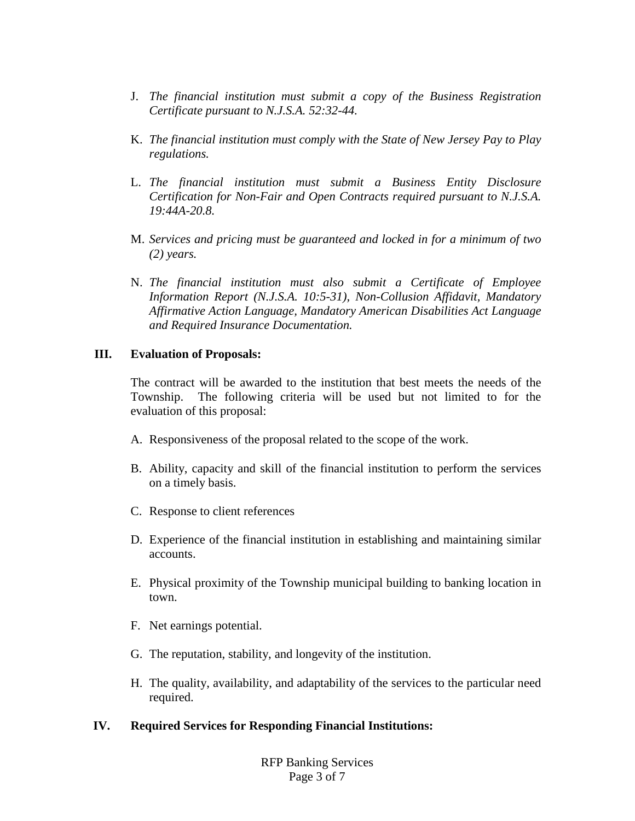- J. *The financial institution must submit a copy of the Business Registration Certificate pursuant to N.J.S.A. 52:32-44.*
- K. *The financial institution must comply with the State of New Jersey Pay to Play regulations.*
- L. *The financial institution must submit a Business Entity Disclosure Certification for Non-Fair and Open Contracts required pursuant to N.J.S.A. 19:44A-20.8.*
- M. *Services and pricing must be guaranteed and locked in for a minimum of two (2) years.*
- N. *The financial institution must also submit a Certificate of Employee Information Report (N.J.S.A. 10:5-31), Non-Collusion Affidavit, Mandatory Affirmative Action Language, Mandatory American Disabilities Act Language and Required Insurance Documentation.*

## **III. Evaluation of Proposals:**

The contract will be awarded to the institution that best meets the needs of the Township. The following criteria will be used but not limited to for the evaluation of this proposal:

- A. Responsiveness of the proposal related to the scope of the work.
- B. Ability, capacity and skill of the financial institution to perform the services on a timely basis.
- C. Response to client references
- D. Experience of the financial institution in establishing and maintaining similar accounts.
- E. Physical proximity of the Township municipal building to banking location in town.
- F. Net earnings potential.
- G. The reputation, stability, and longevity of the institution.
- H. The quality, availability, and adaptability of the services to the particular need required.

## **IV. Required Services for Responding Financial Institutions:**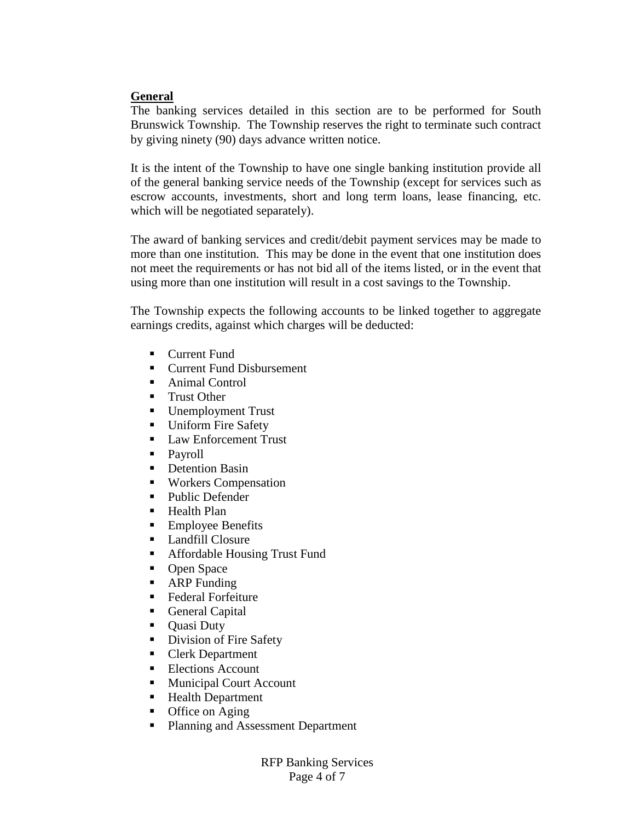## **General**

The banking services detailed in this section are to be performed for South Brunswick Township. The Township reserves the right to terminate such contract by giving ninety (90) days advance written notice.

It is the intent of the Township to have one single banking institution provide all of the general banking service needs of the Township (except for services such as escrow accounts, investments, short and long term loans, lease financing, etc. which will be negotiated separately).

The award of banking services and credit/debit payment services may be made to more than one institution. This may be done in the event that one institution does not meet the requirements or has not bid all of the items listed, or in the event that using more than one institution will result in a cost savings to the Township.

The Township expects the following accounts to be linked together to aggregate earnings credits, against which charges will be deducted:

- **Current Fund**
- Current Fund Disbursement
- Animal Control
- **Trust Other**<br>**Unemploym**
- Unemployment Trust
- **Uniform Fire Safety**
- Law Enforcement Trust
- Payroll
- **Detention Basin**
- Workers Compensation
- Public Defender
- Health Plan
- **Employee Benefits**
- **Landfill Closure**
- Affordable Housing Trust Fund
- Open Space
- **ARP** Funding
- Federal Forfeiture
- General Capital
- Quasi Duty
- Division of Fire Safety
- Clerk Department
- Elections Account
- Municipal Court Account
- Health Department
- Office on Aging
- Planning and Assessment Department

RFP Banking Services Page 4 of 7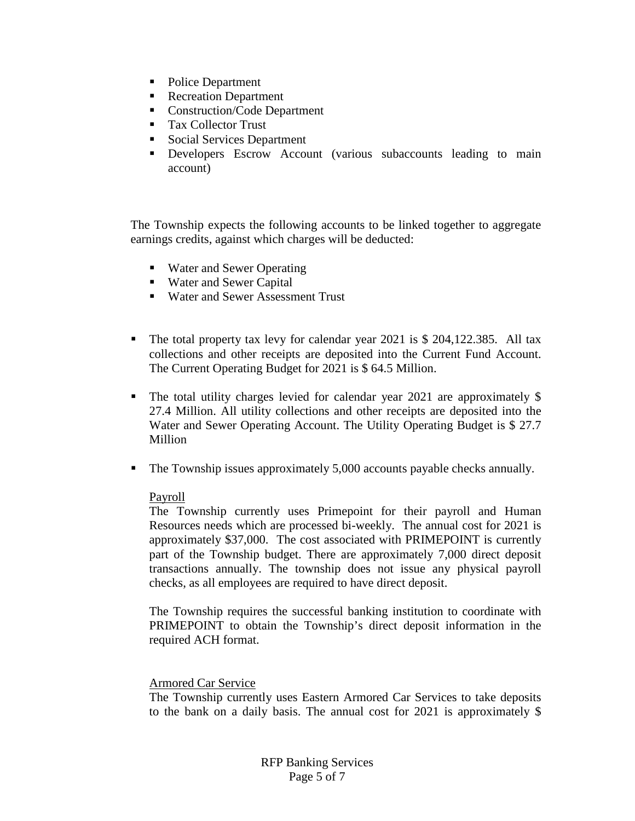- Police Department
- Recreation Department
- Construction/Code Department
- Tax Collector Trust
- Social Services Department
- **Developers Escrow Account (various subaccounts leading to main** account)

The Township expects the following accounts to be linked together to aggregate earnings credits, against which charges will be deducted:

- Water and Sewer Operating
- Water and Sewer Capital
- Water and Sewer Assessment Trust
- The total property tax levy for calendar year 2021 is \$ 204,122.385. All tax collections and other receipts are deposited into the Current Fund Account. The Current Operating Budget for 2021 is \$ 64.5 Million.
- The total utility charges levied for calendar year 2021 are approximately \$ 27.4 Million. All utility collections and other receipts are deposited into the Water and Sewer Operating Account. The Utility Operating Budget is \$ 27.7 Million
- The Township issues approximately 5,000 accounts payable checks annually.

## Payroll

The Township currently uses Primepoint for their payroll and Human Resources needs which are processed bi-weekly. The annual cost for 2021 is approximately \$37,000. The cost associated with PRIMEPOINT is currently part of the Township budget. There are approximately 7,000 direct deposit transactions annually. The township does not issue any physical payroll checks, as all employees are required to have direct deposit.

The Township requires the successful banking institution to coordinate with PRIMEPOINT to obtain the Township's direct deposit information in the required ACH format.

## Armored Car Service

The Township currently uses Eastern Armored Car Services to take deposits to the bank on a daily basis. The annual cost for 2021 is approximately \$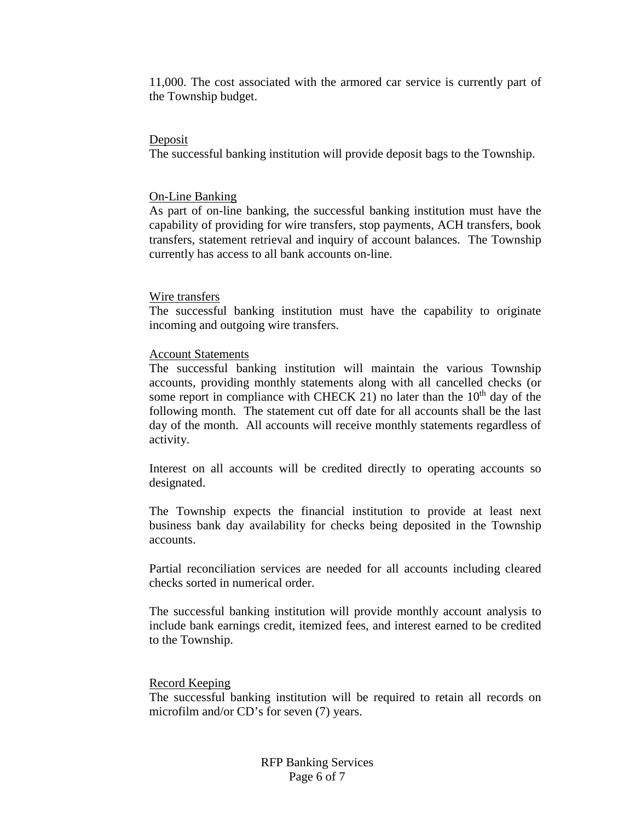11,000. The cost associated with the armored car service is currently part of the Township budget.

#### Deposit

The successful banking institution will provide deposit bags to the Township.

#### On-Line Banking

As part of on-line banking, the successful banking institution must have the capability of providing for wire transfers, stop payments, ACH transfers, book transfers, statement retrieval and inquiry of account balances. The Township currently has access to all bank accounts on-line.

#### Wire transfers

The successful banking institution must have the capability to originate incoming and outgoing wire transfers.

#### Account Statements

The successful banking institution will maintain the various Township accounts, providing monthly statements along with all cancelled checks (or some report in compliance with CHECK 21) no later than the  $10<sup>th</sup>$  day of the following month. The statement cut off date for all accounts shall be the last day of the month. All accounts will receive monthly statements regardless of activity.

Interest on all accounts will be credited directly to operating accounts so designated.

The Township expects the financial institution to provide at least next business bank day availability for checks being deposited in the Township accounts.

Partial reconciliation services are needed for all accounts including cleared checks sorted in numerical order.

The successful banking institution will provide monthly account analysis to include bank earnings credit, itemized fees, and interest earned to be credited to the Township.

#### Record Keeping

The successful banking institution will be required to retain all records on microfilm and/or CD's for seven (7) years.